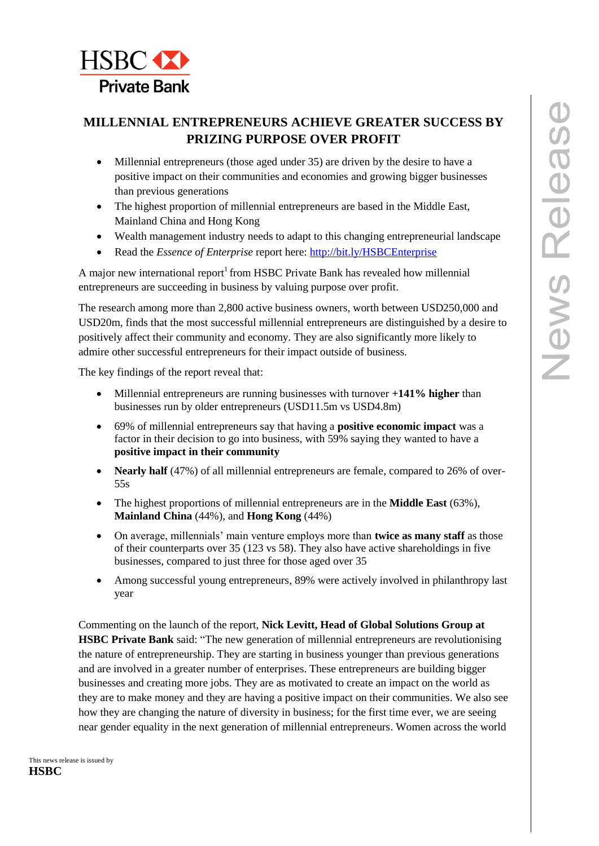

# **MILLENNIAL ENTREPRENEURS ACHIEVE GREATER SUCCESS BY PRIZING PURPOSE OVER PROFIT**

- Millennial entrepreneurs (those aged under 35) are driven by the desire to have a positive impact on their communities and economies and growing bigger businesses than previous generations
- The highest proportion of millennial entrepreneurs are based in the Middle East, Mainland China and Hong Kong
- Wealth management industry needs to adapt to this changing entrepreneurial landscape
- Read the *Essence of Enterprise* report here: <http://bit.ly/HSBCEnterprise>

A major new international report<sup>1</sup> from HSBC Private Bank has revealed how millennial entrepreneurs are succeeding in business by valuing purpose over profit.

The research among more than 2,800 active business owners, worth between USD250,000 and USD20m, finds that the most successful millennial entrepreneurs are distinguished by a desire to positively affect their community and economy. They are also significantly more likely to admire other successful entrepreneurs for their impact outside of business.

The key findings of the report reveal that:

- Millennial entrepreneurs are running businesses with turnover **+141% higher** than businesses run by older entrepreneurs (USD11.5m vs USD4.8m)
- 69% of millennial entrepreneurs say that having a **positive economic impact** was a factor in their decision to go into business, with 59% saying they wanted to have a **positive impact in their community**
- **Nearly half** (47%) of all millennial entrepreneurs are female, compared to 26% of over-55s
- The highest proportions of millennial entrepreneurs are in the **Middle East** (63%), **Mainland China** (44%), and **Hong Kong** (44%)
- On average, millennials' main venture employs more than **twice as many staff** as those of their counterparts over 35 (123 vs 58). They also have active shareholdings in five businesses, compared to just three for those aged over 35
- Among successful young entrepreneurs, 89% were actively involved in philanthropy last year

Commenting on the launch of the report, **Nick Levitt, Head of Global Solutions Group at HSBC Private Bank** said: "The new generation of millennial entrepreneurs are revolutionising the nature of entrepreneurship. They are starting in business younger than previous generations and are involved in a greater number of enterprises. These entrepreneurs are building bigger businesses and creating more jobs. They are as motivated to create an impact on the world as they are to make money and they are having a positive impact on their communities. We also see how they are changing the nature of diversity in business; for the first time ever, we are seeing near gender equality in the next generation of millennial entrepreneurs. Women across the world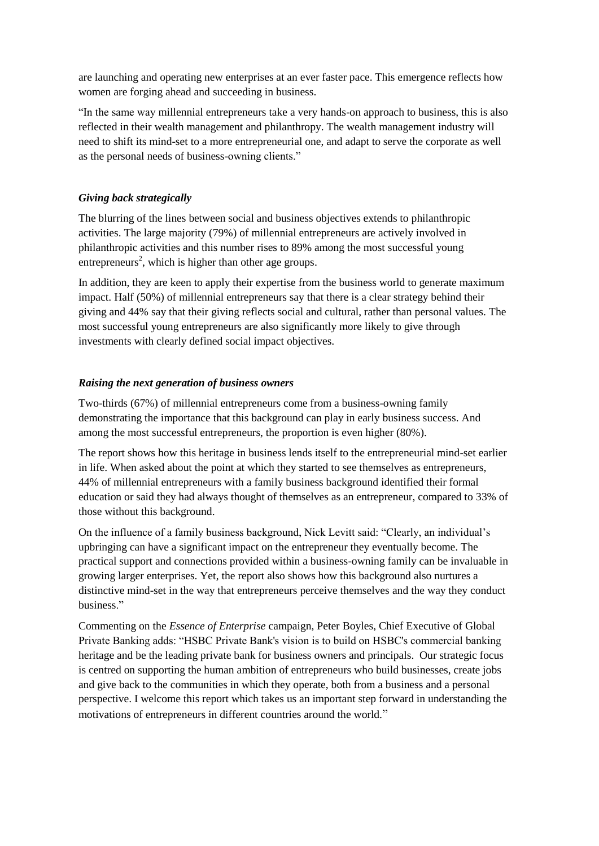are launching and operating new enterprises at an ever faster pace. This emergence reflects how women are forging ahead and succeeding in business.

"In the same way millennial entrepreneurs take a very hands-on approach to business, this is also reflected in their wealth management and philanthropy. The wealth management industry will need to shift its mind-set to a more entrepreneurial one, and adapt to serve the corporate as well as the personal needs of business-owning clients."

# *Giving back strategically*

The blurring of the lines between social and business objectives extends to philanthropic activities. The large majority (79%) of millennial entrepreneurs are actively involved in philanthropic activities and this number rises to 89% among the most successful young entrepreneurs<sup>2</sup>, which is higher than other age groups.

In addition, they are keen to apply their expertise from the business world to generate maximum impact. Half (50%) of millennial entrepreneurs say that there is a clear strategy behind their giving and 44% say that their giving reflects social and cultural, rather than personal values. The most successful young entrepreneurs are also significantly more likely to give through investments with clearly defined social impact objectives.

# *Raising the next generation of business owners*

Two-thirds (67%) of millennial entrepreneurs come from a business-owning family demonstrating the importance that this background can play in early business success. And among the most successful entrepreneurs, the proportion is even higher (80%).

The report shows how this heritage in business lends itself to the entrepreneurial mind-set earlier in life. When asked about the point at which they started to see themselves as entrepreneurs, 44% of millennial entrepreneurs with a family business background identified their formal education or said they had always thought of themselves as an entrepreneur, compared to 33% of those without this background.

On the influence of a family business background, Nick Levitt said: "Clearly, an individual's upbringing can have a significant impact on the entrepreneur they eventually become. The practical support and connections provided within a business-owning family can be invaluable in growing larger enterprises. Yet, the report also shows how this background also nurtures a distinctive mind-set in the way that entrepreneurs perceive themselves and the way they conduct business."

Commenting on the *Essence of Enterprise* campaign, Peter Boyles, Chief Executive of Global Private Banking adds: "HSBC Private Bank's vision is to build on HSBC's commercial banking heritage and be the leading private bank for business owners and principals. Our strategic focus is centred on supporting the human ambition of entrepreneurs who build businesses, create jobs and give back to the communities in which they operate, both from a business and a personal perspective. I welcome this report which takes us an important step forward in understanding the motivations of entrepreneurs in different countries around the world."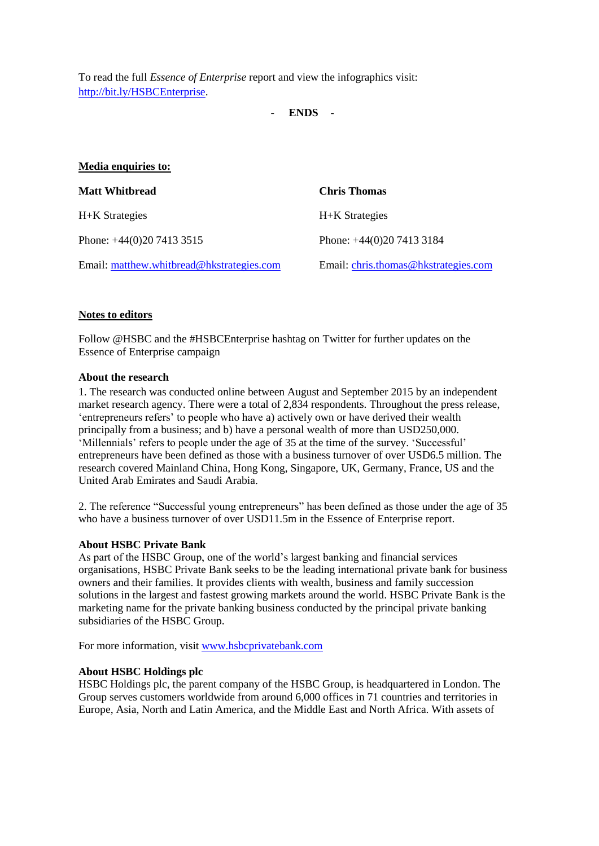To read the full *Essence of Enterprise* report and view the infographics visit: [http://bit.ly/HSBCEnterprise.](http://bit.ly/HSBCEnterprise)

- **ENDS -**

| Media enquiries to:                       |                                      |
|-------------------------------------------|--------------------------------------|
| <b>Matt Whitbread</b>                     | <b>Chris Thomas</b>                  |
| H+K Strategies                            | H+K Strategies                       |
| Phone: $+44(0)2074133515$                 | Phone: $+44(0)2074133184$            |
| Email: matthew.whitbread@hkstrategies.com | Email: chris.thomas@hkstrategies.com |

## **Notes to editors**

Follow @HSBC and the #HSBCEnterprise hashtag on Twitter for further updates on the Essence of Enterprise campaign

#### **About the research**

1. The research was conducted online between August and September 2015 by an independent market research agency. There were a total of 2,834 respondents. Throughout the press release, 'entrepreneurs refers' to people who have a) actively own or have derived their wealth principally from a business; and b) have a personal wealth of more than USD250,000. 'Millennials' refers to people under the age of 35 at the time of the survey. 'Successful' entrepreneurs have been defined as those with a business turnover of over USD6.5 million. The research covered Mainland China, Hong Kong, Singapore, UK, Germany, France, US and the United Arab Emirates and Saudi Arabia.

2. The reference "Successful young entrepreneurs" has been defined as those under the age of 35 who have a business turnover of over USD11.5m in the Essence of Enterprise report.

## **About HSBC Private Bank**

As part of the HSBC Group, one of the world's largest banking and financial services organisations, HSBC Private Bank seeks to be the leading international private bank for business owners and their families. It provides clients with wealth, business and family succession solutions in the largest and fastest growing markets around the world. HSBC Private Bank is the marketing name for the private banking business conducted by the principal private banking subsidiaries of the HSBC Group.

For more information, visit [www.hsbcprivatebank.com](file:///C:/Users/43754669/AppData/Local/Temp/notes11F67F/www.hsbcprivatebank.com)

## **About HSBC Holdings plc**

HSBC Holdings plc, the parent company of the HSBC Group, is headquartered in London. The Group serves customers worldwide from around 6,000 offices in 71 countries and territories in Europe, Asia, North and Latin America, and the Middle East and North Africa. With assets of